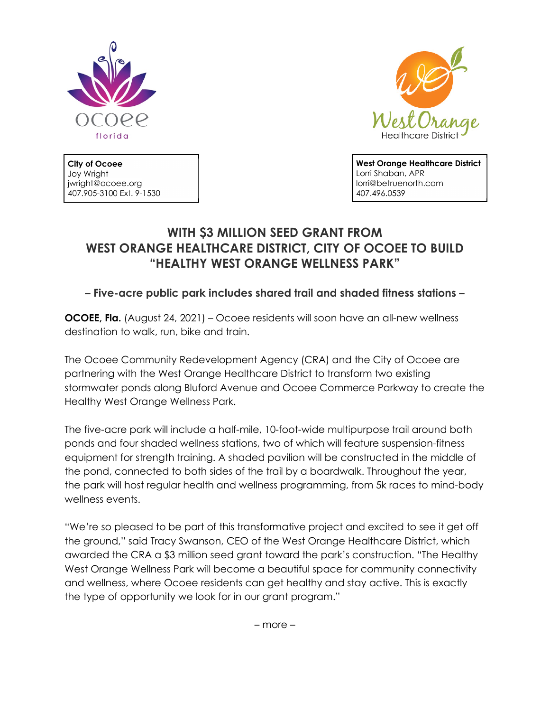



**City of Ocoee** Joy Wright jwright@ocoee.org 407.905-3100 Ext. 9-1530 **West Orange Healthcare District** Lorri Shaban, APR lorri@betruenorth.com 407.496.0539

# **WITH \$3 MILLION SEED GRANT FROM WEST ORANGE HEALTHCARE DISTRICT, CITY OF OCOEE TO BUILD "HEALTHY WEST ORANGE WELLNESS PARK"**

## **– Five-acre public park includes shared trail and shaded fitness stations –**

**OCOEE, Fla.** (August 24, 2021) – Ocoee residents will soon have an all-new wellness destination to walk, run, bike and train.

The Ocoee Community Redevelopment Agency (CRA) and the City of Ocoee are partnering with the West Orange Healthcare District to transform two existing stormwater ponds along Bluford Avenue and Ocoee Commerce Parkway to create the Healthy West Orange Wellness Park.

The five-acre park will include a half-mile, 10-foot-wide multipurpose trail around both ponds and four shaded wellness stations, two of which will feature suspension-fitness equipment for strength training. A shaded pavilion will be constructed in the middle of the pond, connected to both sides of the trail by a boardwalk. Throughout the year, the park will host regular health and wellness programming, from 5k races to mind-body wellness events.

"We're so pleased to be part of this transformative project and excited to see it get off the ground," said Tracy Swanson, CEO of the West Orange Healthcare District, which awarded the CRA a \$3 million seed grant toward the park's construction. "The Healthy West Orange Wellness Park will become a beautiful space for community connectivity and wellness, where Ocoee residents can get healthy and stay active. This is exactly the type of opportunity we look for in our grant program."